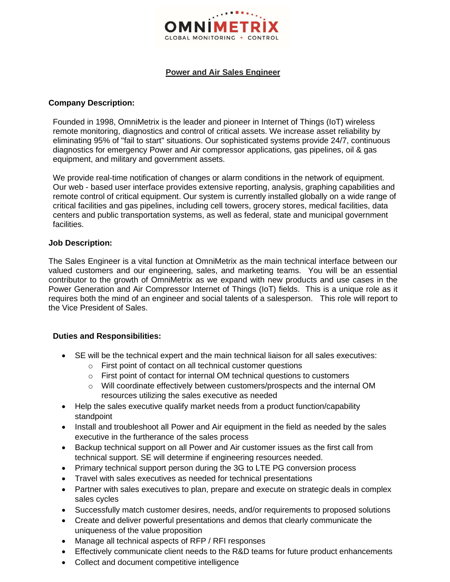

## **Power and Air Sales Engineer**

#### **Company Description:**

Founded in 1998, OmniMetrix is the leader and pioneer in Internet of Things (IoT) wireless remote monitoring, diagnostics and control of critical assets. We increase asset reliability by eliminating 95% of "fail to start" situations. Our sophisticated systems provide 24/7, continuous diagnostics for emergency Power and Air compressor applications, gas pipelines, oil & gas equipment, and military and government assets.

We provide real-time notification of changes or alarm conditions in the network of equipment. Our web - based user interface provides extensive reporting, analysis, graphing capabilities and remote control of critical equipment. Our system is currently installed globally on a wide range of critical facilities and gas pipelines, including cell towers, grocery stores, medical facilities, data centers and public transportation systems, as well as federal, state and municipal government facilities.

#### **Job Description:**

The Sales Engineer is a vital function at OmniMetrix as the main technical interface between our valued customers and our engineering, sales, and marketing teams. You will be an essential contributor to the growth of OmniMetrix as we expand with new products and use cases in the Power Generation and Air Compressor Internet of Things (IoT) fields. This is a unique role as it requires both the mind of an engineer and social talents of a salesperson. This role will report to the Vice President of Sales.

## **Duties and Responsibilities:**

- SE will be the technical expert and the main technical liaison for all sales executives:
	- o First point of contact on all technical customer questions
	- o First point of contact for internal OM technical questions to customers
	- o Will coordinate effectively between customers/prospects and the internal OM resources utilizing the sales executive as needed
- Help the sales executive qualify market needs from a product function/capability standpoint
- Install and troubleshoot all Power and Air equipment in the field as needed by the sales executive in the furtherance of the sales process
- Backup technical support on all Power and Air customer issues as the first call from technical support. SE will determine if engineering resources needed.
- Primary technical support person during the 3G to LTE PG conversion process
- Travel with sales executives as needed for technical presentations
- Partner with sales executives to plan, prepare and execute on strategic deals in complex sales cycles
- Successfully match customer desires, needs, and/or requirements to proposed solutions
- Create and deliver powerful presentations and demos that clearly communicate the uniqueness of the value proposition
- Manage all technical aspects of RFP / RFI responses
- Effectively communicate client needs to the R&D teams for future product enhancements
- Collect and document competitive intelligence